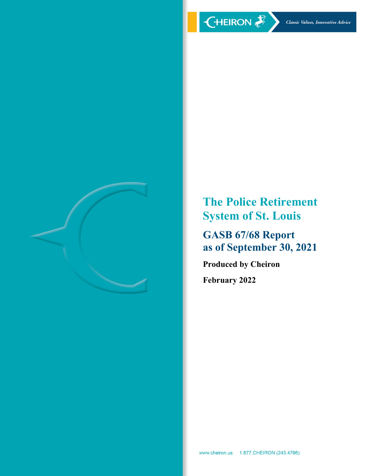

**The Police Retirement System of St. Louis** 

**GASB 67/68 Report as of September 30, 2021** 

**Produced by Cheiron February 2022**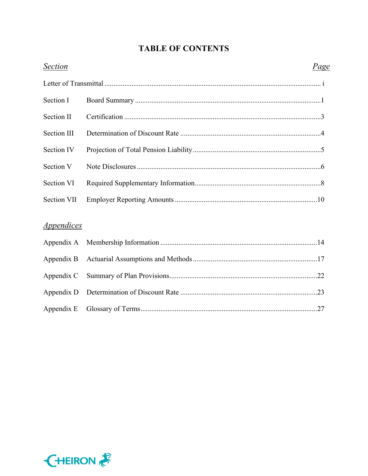# **TABLE OF CONTENTS**

| <b>Section</b>                  | <u>Page</u> |  |
|---------------------------------|-------------|--|
|                                 |             |  |
| Section I                       |             |  |
| Section II                      |             |  |
| Section III                     |             |  |
| Section IV                      |             |  |
| Section V                       |             |  |
| Section VI                      |             |  |
| <b>Section VII</b>              |             |  |
| <i><u><b>Appendices</b></u></i> |             |  |
| Appendix A                      |             |  |
| Appendix B                      |             |  |
| Appendix C                      |             |  |
| Appendix D                      |             |  |
| Appendix E                      |             |  |

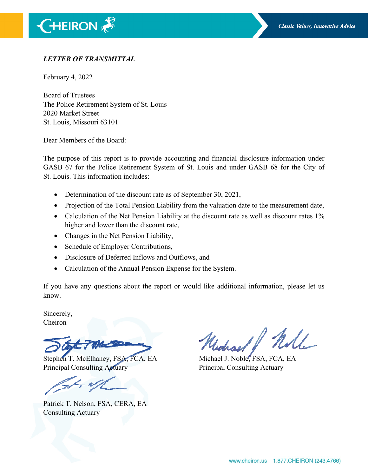# *LETTER OF TRANSMITTAL*

February 4, 2022

Board of Trustees The Police Retirement System of St. Louis 2020 Market Street St. Louis, Missouri 63101

Dear Members of the Board:

The purpose of this report is to provide accounting and financial disclosure information under GASB 67 for the Police Retirement System of St. Louis and under GASB 68 for the City of St. Louis. This information includes:

- Determination of the discount rate as of September 30, 2021,
- Projection of the Total Pension Liability from the valuation date to the measurement date,
- Calculation of the Net Pension Liability at the discount rate as well as discount rates 1% higher and lower than the discount rate,
- Changes in the Net Pension Liability,
- Schedule of Employer Contributions,
- Disclosure of Deferred Inflows and Outflows, and
- Calculation of the Annual Pension Expense for the System.

If you have any questions about the report or would like additional information, please let us know.

Sincerely, Cheiron

Stephen T. McElhaney, FSA, FCA, EA Michael J. Noble, FSA, FCA, EA Principal Consulting Actuary Principal Consulting Actuary

Patrick T. Nelson, FSA, CERA, EA Consulting Actuary

Will Undraar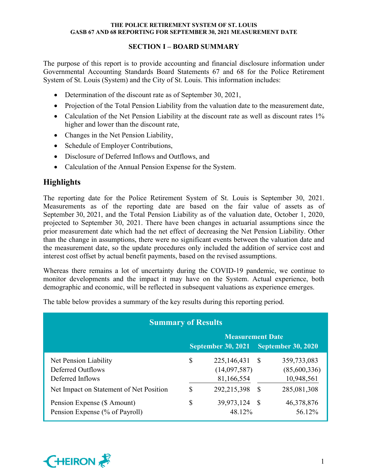# **SECTION I – BOARD SUMMARY**

The purpose of this report is to provide accounting and financial disclosure information under Governmental Accounting Standards Board Statements 67 and 68 for the Police Retirement System of St. Louis (System) and the City of St. Louis. This information includes:

- Determination of the discount rate as of September 30, 2021,
- Projection of the Total Pension Liability from the valuation date to the measurement date,
- Calculation of the Net Pension Liability at the discount rate as well as discount rates 1% higher and lower than the discount rate,
- Changes in the Net Pension Liability,
- Schedule of Employer Contributions,
- Disclosure of Deferred Inflows and Outflows, and
- Calculation of the Annual Pension Expense for the System.

# **Highlights**

The reporting date for the Police Retirement System of St. Louis is September 30, 2021. Measurements as of the reporting date are based on the fair value of assets as of September 30, 2021, and the Total Pension Liability as of the valuation date, October 1, 2020, projected to September 30, 2021. There have been changes in actuarial assumptions since the prior measurement date which had the net effect of decreasing the Net Pension Liability. Other than the change in assumptions, there were no significant events between the valuation date and the measurement date, so the update procedures only included the addition of service cost and interest cost offset by actual benefit payments, based on the revised assumptions.

Whereas there remains a lot of uncertainty during the COVID-19 pandemic, we continue to monitor developments and the impact it may have on the System. Actual experience, both demographic and economic, will be reflected in subsequent valuations as experience emerges.

The table below provides a summary of the key results during this reporting period.

| <b>Summary of Results</b>                                      |                                                        |                                             |      |                                           |  |  |  |  |  |  |  |
|----------------------------------------------------------------|--------------------------------------------------------|---------------------------------------------|------|-------------------------------------------|--|--|--|--|--|--|--|
| <b>Measurement Date</b>                                        |                                                        |                                             |      |                                           |  |  |  |  |  |  |  |
|                                                                | <b>September 30, 2021</b><br><b>September 30, 2020</b> |                                             |      |                                           |  |  |  |  |  |  |  |
| Net Pension Liability<br>Deferred Outflows<br>Deferred Inflows | \$                                                     | 225, 146, 431<br>(14,097,587)<br>81,166,554 | - \$ | 359,733,083<br>(85,600,336)<br>10,948,561 |  |  |  |  |  |  |  |
| Net Impact on Statement of Net Position                        | S                                                      | 292, 215, 398                               | -\$  | 285,081,308                               |  |  |  |  |  |  |  |
| Pension Expense (\$ Amount)<br>Pension Expense (% of Payroll)  | \$                                                     | 39,973,124<br>48.12%                        | - S  | 46,378,876<br>56.12%                      |  |  |  |  |  |  |  |

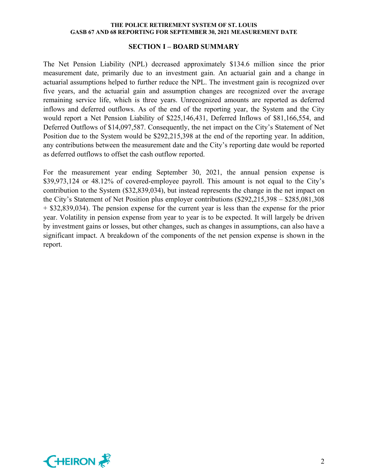#### **SECTION I – BOARD SUMMARY**

The Net Pension Liability (NPL) decreased approximately \$134.6 million since the prior measurement date, primarily due to an investment gain. An actuarial gain and a change in actuarial assumptions helped to further reduce the NPL. The investment gain is recognized over five years, and the actuarial gain and assumption changes are recognized over the average remaining service life, which is three years. Unrecognized amounts are reported as deferred inflows and deferred outflows. As of the end of the reporting year, the System and the City would report a Net Pension Liability of \$225,146,431, Deferred Inflows of \$81,166,554, and Deferred Outflows of \$14,097,587. Consequently, the net impact on the City's Statement of Net Position due to the System would be \$292,215,398 at the end of the reporting year. In addition, any contributions between the measurement date and the City's reporting date would be reported as deferred outflows to offset the cash outflow reported.

For the measurement year ending September 30, 2021, the annual pension expense is \$39,973,124 or 48.12% of covered-employee payroll. This amount is not equal to the City's contribution to the System (\$32,839,034), but instead represents the change in the net impact on the City's Statement of Net Position plus employer contributions (\$292,215,398 – \$285,081,308 + \$32,839,034). The pension expense for the current year is less than the expense for the prior year. Volatility in pension expense from year to year is to be expected. It will largely be driven by investment gains or losses, but other changes, such as changes in assumptions, can also have a significant impact. A breakdown of the components of the net pension expense is shown in the report.

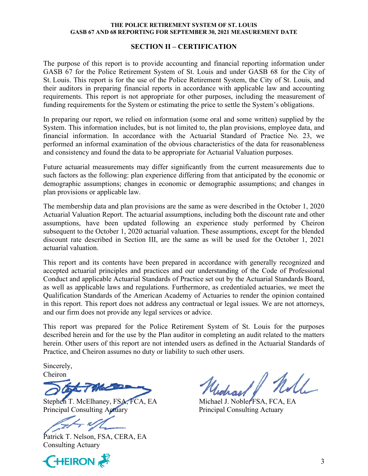#### **SECTION II – CERTIFICATION**

The purpose of this report is to provide accounting and financial reporting information under GASB 67 for the Police Retirement System of St. Louis and under GASB 68 for the City of St. Louis. This report is for the use of the Police Retirement System, the City of St. Louis, and their auditors in preparing financial reports in accordance with applicable law and accounting requirements. This report is not appropriate for other purposes, including the measurement of funding requirements for the System or estimating the price to settle the System's obligations.

In preparing our report, we relied on information (some oral and some written) supplied by the System. This information includes, but is not limited to, the plan provisions, employee data, and financial information. In accordance with the Actuarial Standard of Practice No. 23, we performed an informal examination of the obvious characteristics of the data for reasonableness and consistency and found the data to be appropriate for Actuarial Valuation purposes.

Future actuarial measurements may differ significantly from the current measurements due to such factors as the following: plan experience differing from that anticipated by the economic or demographic assumptions; changes in economic or demographic assumptions; and changes in plan provisions or applicable law.

The membership data and plan provisions are the same as were described in the October 1, 2020 Actuarial Valuation Report. The actuarial assumptions, including both the discount rate and other assumptions, have been updated following an experience study performed by Cheiron subsequent to the October 1, 2020 actuarial valuation. These assumptions, except for the blended discount rate described in Section III, are the same as will be used for the October 1, 2021 actuarial valuation.

This report and its contents have been prepared in accordance with generally recognized and accepted actuarial principles and practices and our understanding of the Code of Professional Conduct and applicable Actuarial Standards of Practice set out by the Actuarial Standards Board, as well as applicable laws and regulations. Furthermore, as credentialed actuaries, we meet the Qualification Standards of the American Academy of Actuaries to render the opinion contained in this report. This report does not address any contractual or legal issues. We are not attorneys, and our firm does not provide any legal services or advice.

This report was prepared for the Police Retirement System of St. Louis for the purposes described herein and for the use by the Plan auditor in completing an audit related to the matters herein. Other users of this report are not intended users as defined in the Actuarial Standards of Practice, and Cheiron assumes no duty or liability to such other users.

Sincerely, Cheiron

Stephen T. McElhaney, FSA, FCA, EA Michael J. Noble, FSA, FCA, EA Principal Consulting Actuary Principal Consulting Actuary

Patrick T. Nelson, FSA, CERA, EA Consulting Actuary



Principal Consulting Actuary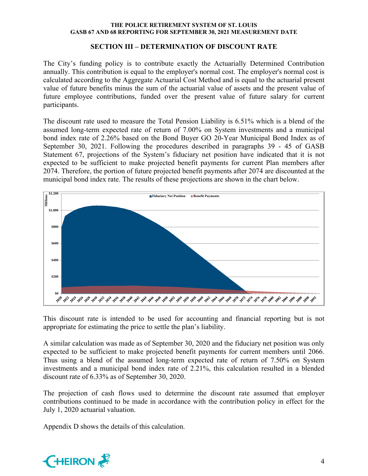### **SECTION III – DETERMINATION OF DISCOUNT RATE**

The City's funding policy is to contribute exactly the Actuarially Determined Contribution annually. This contribution is equal to the employer's normal cost. The employer's normal cost is calculated according to the Aggregate Actuarial Cost Method and is equal to the actuarial present value of future benefits minus the sum of the actuarial value of assets and the present value of future employee contributions, funded over the present value of future salary for current participants.

The discount rate used to measure the Total Pension Liability is 6.51% which is a blend of the assumed long-term expected rate of return of 7.00% on System investments and a municipal bond index rate of 2.26% based on the Bond Buyer GO 20-Year Municipal Bond Index as of September 30, 2021. Following the procedures described in paragraphs 39 - 45 of GASB Statement 67, projections of the System's fiduciary net position have indicated that it is not expected to be sufficient to make projected benefit payments for current Plan members after 2074. Therefore, the portion of future projected benefit payments after 2074 are discounted at the municipal bond index rate. The results of these projections are shown in the chart below.



This discount rate is intended to be used for accounting and financial reporting but is not appropriate for estimating the price to settle the plan's liability.

A similar calculation was made as of September 30, 2020 and the fiduciary net position was only expected to be sufficient to make projected benefit payments for current members until 2066. Thus using a blend of the assumed long-term expected rate of return of 7.50% on System investments and a municipal bond index rate of 2.21%, this calculation resulted in a blended discount rate of 6.33% as of September 30, 2020.

The projection of cash flows used to determine the discount rate assumed that employer contributions continued to be made in accordance with the contribution policy in effect for the July 1, 2020 actuarial valuation.

Appendix D shows the details of this calculation.

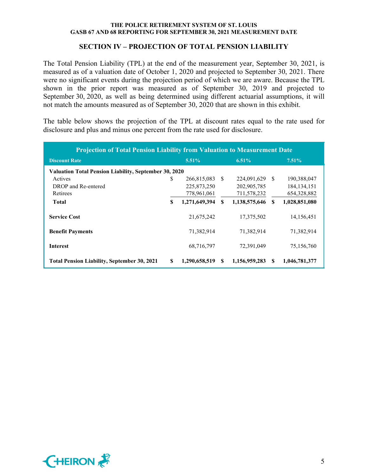### **SECTION IV – PROJECTION OF TOTAL PENSION LIABILITY**

The Total Pension Liability (TPL) at the end of the measurement year, September 30, 2021, is measured as of a valuation date of October 1, 2020 and projected to September 30, 2021. There were no significant events during the projection period of which we are aware. Because the TPL shown in the prior report was measured as of September 30, 2019 and projected to September 30, 2020, as well as being determined using different actuarial assumptions, it will not match the amounts measured as of September 30, 2020 that are shown in this exhibit.

The table below shows the projection of the TPL at discount rates equal to the rate used for disclosure and plus and minus one percent from the rate used for disclosure.

| <b>Projection of Total Pension Liability from Valuation to Measurement Date</b> |    |               |     |                |     |               |  |  |  |  |  |
|---------------------------------------------------------------------------------|----|---------------|-----|----------------|-----|---------------|--|--|--|--|--|
| <b>Discount Rate</b>                                                            |    | $5.51\%$      |     | 6.51%          |     | $7.51\%$      |  |  |  |  |  |
| <b>Valuation Total Pension Liability, September 30, 2020</b>                    |    |               |     |                |     |               |  |  |  |  |  |
| Actives                                                                         | S  | 266,815,083   | - S | 224,091,629 \$ |     | 190,388,047   |  |  |  |  |  |
| DROP and Re-entered                                                             |    | 225,873,250   |     | 202,905,785    |     | 184, 134, 151 |  |  |  |  |  |
| Retirees                                                                        |    | 778,961,061   |     | 711,578,232    |     | 654, 328, 882 |  |  |  |  |  |
| <b>Total</b>                                                                    | \$ | 1,271,649,394 | S   | 1,138,575,646  | \$. | 1,028,851,080 |  |  |  |  |  |
| <b>Service Cost</b>                                                             |    | 21,675,242    |     | 17,375,502     |     | 14,156,451    |  |  |  |  |  |
| <b>Benefit Payments</b>                                                         |    | 71,382,914    |     | 71,382,914     |     | 71,382,914    |  |  |  |  |  |
| <b>Interest</b>                                                                 |    | 68,716,797    |     | 72,391,049     |     | 75,156,760    |  |  |  |  |  |
| <b>Total Pension Liability, September 30, 2021</b>                              | \$ | 1,290,658,519 | \$. | 1,156,959,283  | S   | 1,046,781,377 |  |  |  |  |  |

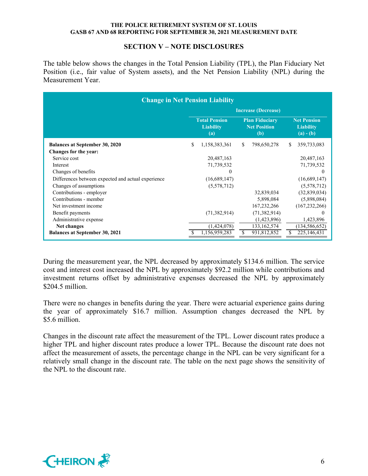#### **SECTION V – NOTE DISCLOSURES**

The table below shows the changes in the Total Pension Liability (TPL), the Plan Fiduciary Net Position (i.e., fair value of System assets), and the Net Pension Liability (NPL) during the Measurement Year.

| <b>Change in Net Pension Liability</b>             |                            |                                                 |    |                                                       |    |                 |  |  |  |  |  |
|----------------------------------------------------|----------------------------|-------------------------------------------------|----|-------------------------------------------------------|----|-----------------|--|--|--|--|--|
|                                                    | <b>Increase (Decrease)</b> |                                                 |    |                                                       |    |                 |  |  |  |  |  |
|                                                    |                            | <b>Total Pension</b><br><b>Liability</b><br>(a) |    | <b>Net Pension</b><br><b>Liability</b><br>$(a) - (b)$ |    |                 |  |  |  |  |  |
| <b>Balances at September 30, 2020</b>              | \$.                        | 1,158,383,361                                   | \$ | 798,650,278                                           | S. | 359,733,083     |  |  |  |  |  |
| Changes for the year:                              |                            |                                                 |    |                                                       |    |                 |  |  |  |  |  |
| Service cost                                       |                            | 20,487,163                                      |    |                                                       |    | 20,487,163      |  |  |  |  |  |
| Interest                                           |                            | 71,739,532                                      |    |                                                       |    | 71,739,532      |  |  |  |  |  |
| Changes of benefits                                |                            | $\Omega$                                        |    |                                                       |    | $\Omega$        |  |  |  |  |  |
| Differences between expected and actual experience |                            | (16,689,147)                                    |    |                                                       |    | (16,689,147)    |  |  |  |  |  |
| Changes of assumptions                             |                            | (5,578,712)                                     |    |                                                       |    | (5,578,712)     |  |  |  |  |  |
| Contributions - employer                           |                            |                                                 |    | 32,839,034                                            |    | (32,839,034)    |  |  |  |  |  |
| Contributions - member                             |                            |                                                 |    | 5,898,084                                             |    | (5,898,084)     |  |  |  |  |  |
| Net investment income                              |                            |                                                 |    | 167,232,266                                           |    | (167, 232, 266) |  |  |  |  |  |
| Benefit payments                                   |                            | (71, 382, 914)                                  |    | (71, 382, 914)                                        |    | $\theta$        |  |  |  |  |  |
| Administrative expense                             |                            |                                                 |    | (1,423,896)                                           |    | 1,423,896       |  |  |  |  |  |
| Net changes                                        |                            | (1,424,078)                                     |    | 133, 162, 574                                         |    | (134, 586, 652) |  |  |  |  |  |
| <b>Balances at September 30, 2021</b>              |                            | 1,156,959,283                                   | S  | 931,812,852                                           | S  | 225,146,431     |  |  |  |  |  |

During the measurement year, the NPL decreased by approximately \$134.6 million. The service cost and interest cost increased the NPL by approximately \$92.2 million while contributions and investment returns offset by administrative expenses decreased the NPL by approximately \$204.5 million.

There were no changes in benefits during the year. There were actuarial experience gains during the year of approximately \$16.7 million. Assumption changes decreased the NPL by \$5.6 million.

Changes in the discount rate affect the measurement of the TPL. Lower discount rates produce a higher TPL and higher discount rates produce a lower TPL. Because the discount rate does not affect the measurement of assets, the percentage change in the NPL can be very significant for a relatively small change in the discount rate. The table on the next page shows the sensitivity of the NPL to the discount rate.

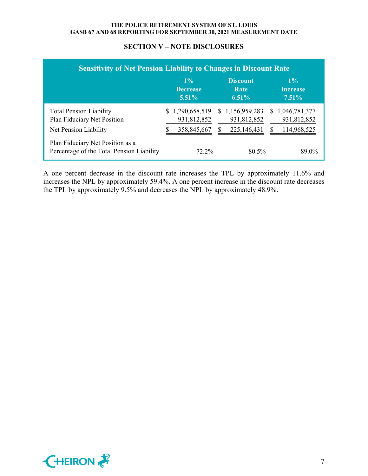| <b>Sensitivity of Net Pension Liability to Changes in Discount Rate</b>                                |  |                                   |  |                                     |  |                                   |  |  |  |  |  |
|--------------------------------------------------------------------------------------------------------|--|-----------------------------------|--|-------------------------------------|--|-----------------------------------|--|--|--|--|--|
|                                                                                                        |  | $1\%$<br><b>Decrease</b><br>5.51% |  | <b>Discount</b><br>Rate<br>$6.51\%$ |  | $1\%$<br><b>Increase</b><br>7.51% |  |  |  |  |  |
| <b>Total Pension Liability</b><br>Plan Fiduciary Net Position                                          |  | \$1,290,658,519<br>931,812,852    |  | \$1,156,959,283<br>931,812,852      |  | \$1,046,781,377<br>931,812,852    |  |  |  |  |  |
| Net Pension Liability<br>Plan Fiduciary Net Position as a<br>Percentage of the Total Pension Liability |  | 358,845,667<br>$72.2\%$           |  | 225,146,431<br>80.5%                |  | 114,968,525<br>89.0%              |  |  |  |  |  |

## **SECTION V – NOTE DISCLOSURES**

A one percent decrease in the discount rate increases the TPL by approximately 11.6% and increases the NPL by approximately 59.4%. A one percent increase in the discount rate decreases the TPL by approximately 9.5% and decreases the NPL by approximately 48.9%.

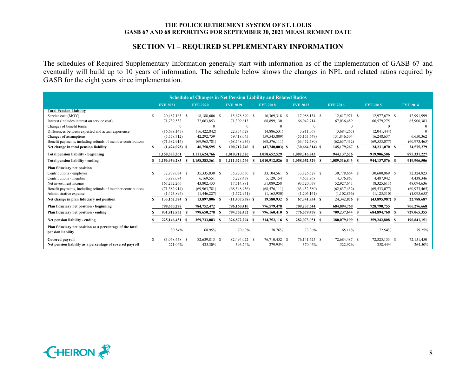## **SECTION VI – REQUIRED SUPPLEMENTARY INFORMATION**

The schedules of Required Supplementary Information generally start with information as of the implementation of GASB 67 and eventually will build up to 10 years of information. The schedule below shows the changes in NPL and related ratios required by GASB for the eight years since implementation.

| <b>Schedule of Changes in Net Pension Liability and Related Ratios</b>        |  |                          |    |                          |  |                          |  |                          |  |                          |                          |      |                          |  |                       |
|-------------------------------------------------------------------------------|--|--------------------------|----|--------------------------|--|--------------------------|--|--------------------------|--|--------------------------|--------------------------|------|--------------------------|--|-----------------------|
|                                                                               |  | <b>FYE 2021</b>          |    | <b>FYE 2020</b>          |  | <b>FYE 2019</b>          |  | <b>FYE 2018</b>          |  | <b>FYE 2017</b>          | <b>FYE 2016</b>          |      | <b>FYE 2015</b>          |  | <b>FYE 2014</b>       |
| <b>Total Pension Liability</b>                                                |  |                          |    |                          |  |                          |  |                          |  |                          |                          |      |                          |  |                       |
| Service cost (MOY)                                                            |  | 20.487.163 \$            |    | 18,188,606 \$            |  | 15,678,890 \$            |  | 16.369.318 \$            |  | 17.988.134 \$            | 12.617.971 \$            |      | 12.977.679 \$            |  | 12.991.999            |
| Interest (includes interest on service cost)                                  |  | 71,739,532               |    | 72,663,853               |  | 71,309,613               |  | 68,899,130               |  | 66,042,714               | 67,036,489               |      | 66,579,275               |  | 65,906,383            |
| Changes of benefit terms                                                      |  | $\Omega$                 |    | $\Omega$                 |  | $\Omega$                 |  | $\Omega$                 |  | $\Omega$                 | $\Omega$                 |      | $\Omega$                 |  |                       |
| Differences between expected and actual experience                            |  | (16,689,147)             |    | (16, 422, 842)           |  | 22,854,628               |  | (4,886,531)              |  | 3,911,067                | (3,684,265)              |      | (2,041,444)              |  |                       |
| Changes of assumptions                                                        |  | (5,578,712)              |    | 42,292,759               |  | 59,418,045               |  | (59, 545, 809)           |  | (55, 153, 649)           | 131,846,504              |      | 16,248,637               |  | 6,650,362             |
| Benefit payments, including refunds of member contributions                   |  | (71, 382, 914)           |    | (69,963,781)             |  | (68, 548, 936)           |  | (68, 576, 111)           |  | (63, 452, 580)           | (62, 637, 432)           |      | (69, 533, 077)           |  | (60, 973, 465)        |
| Net change in total pension liability                                         |  | $(1,424,078)$ \$         |    | 46,758,595 \$            |  | 100,712,240 \$           |  | $(47,740,003)$ \$        |  | $(30,664,314)$ \$        | 145,179,267 \$           |      | 24,231,070 \$            |  | 24,575,279            |
| <b>Total pension liability - beginning</b>                                    |  | 1,158,383,361            |    | 1,111,624,766            |  | 1,010,912,526            |  | 1,058,652,529            |  | 1,089,316,843            | 944, 137, 576            |      | 919,906,506              |  | 895,331,227           |
| Total pension liability - ending                                              |  | 1,156,959,283            |    | 1,158,383,361            |  | 1,111,624,766            |  | 1,010,912,526            |  | 1,058,652,529<br>-8      | 1,089,316,843            | - \$ | 944,137,576 \$           |  | 919,906,506           |
| Plan fiduciary net position                                                   |  |                          |    |                          |  |                          |  |                          |  |                          |                          |      |                          |  |                       |
| Contributions - employer                                                      |  | 32,839,034 \$            |    | 35,335,830 \$            |  | 35,970,630 \$            |  | 33,104,561 \$            |  | 33,826,528 \$            | 30,778,664 \$            |      | 30,600,069 \$            |  | 32,324,823            |
| Contributions - member                                                        |  | 5,898,084                |    | 6,169,551                |  | 5,228,438                |  | 5,129,154                |  | 4,653,968                | 4,376,867                |      | 4,487,942                |  | 4,438,346             |
| Net investment income                                                         |  | 167,232,266              |    | 43,802,433               |  | 17,514,881               |  | 51,089,258               |  | 93,520,079               | 52,927,643               |      | (8,325,611)              |  | 48,094,636            |
| Benefit payments, including refunds of member contributions                   |  | (71, 382, 914)           |    | (69, 963, 781)           |  | (68, 548, 936)           |  | (68, 576, 111)           |  | (63, 452, 580)           | (62, 637, 432)           |      | (69, 533, 077)           |  | (60, 973, 465)        |
| Administrative expense                                                        |  | (1,423,896)              |    | (1,446,227)              |  | (1,572,951)              |  | (1,165,930)              |  | (1,206,161)              | (1,102,866)              |      | (1, 125, 310)            |  | (1,095,653)           |
| Net change in plan fiduciary net position                                     |  | 133,162,574 \$           |    | 13,897,806 \$            |  | $(11, 407, 938)$ \$      |  | 19,580,932 \$            |  | 67,341,834 \$            | 24,342,876 \$            |      | $(43,895,987)$ \$        |  | 22,788,687            |
| Plan fiduciary net position - beginning                                       |  | 798,650,278              |    | 784,752,472              |  | 796,160,410              |  | 776,579,478              |  | 709,237,644              | 684,894,768              |      | 728,790,755              |  | 706,276,668           |
| Plan fiduciary net position - ending                                          |  | 931,812,852              |    | 798,650,278              |  | 784,752,472              |  | 796,160,410              |  | 776,579,478 \$           | 709,237,644              | - 8  | 684,894,768              |  | 729,065,355           |
| Net pension liability - ending                                                |  | 225,146,431              | -S | 359,733,083              |  | 326,872,294              |  | 214,752,116 \$           |  | 282,073,051 \$           | 380,079,199 \$           |      | 259,242,808 \$           |  | 190,841,151           |
| Plan fiduciary net position as a percentage of the total<br>pension liability |  | 80.54%                   |    | 68.95%                   |  | 70.60%                   |  | 78.76%                   |  | 73.36%                   | 65.11%                   |      | 72.54%                   |  | 79.25%                |
| Covered payroll<br>Net pension liability as a percentage of covered payroll   |  | 83,068,458 \$<br>271.04% |    | 82,639,813 \$<br>435.30% |  | 82,494,022 \$<br>396.24% |  | 76,710,452 \$<br>279.95% |  | 76,141,625 \$<br>370.46% | 72,684,487 \$<br>522.92% |      | 72,325,153 \$<br>358.44% |  | 72,151,450<br>264.50% |

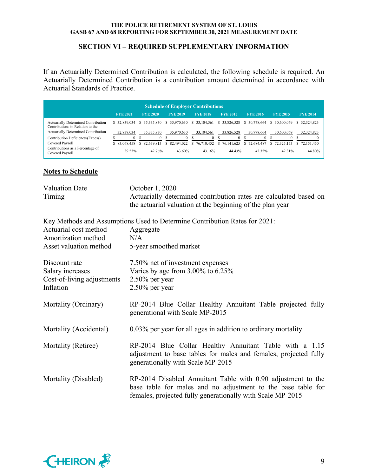### **SECTION VI – REQUIRED SUPPLEMENTARY INFORMATION**

If an Actuarially Determined Contribution is calculated, the following schedule is required. An Actuarially Determined Contribution is a contribution amount determined in accordance with Actuarial Standards of Practice.

| <b>Schedule of Employer Contributions</b>                               |                 |                 |                 |                 |                 |                  |                 |                 |  |  |  |
|-------------------------------------------------------------------------|-----------------|-----------------|-----------------|-----------------|-----------------|------------------|-----------------|-----------------|--|--|--|
|                                                                         | <b>FYE 2021</b> | <b>FYE 2020</b> | <b>FYE 2019</b> | <b>FYE 2018</b> | <b>FYE 2017</b> | <b>FYE 2016</b>  | <b>FYE 2015</b> | <b>FYE 2014</b> |  |  |  |
| Actuarially Determined Contribution<br>Contributions in Relation to the | \$32,839,034    | \$35,335,830    | \$35,970,630    | \$ 33,104,561   | \$33,826,528    | 30,778,664<br>S. | 30,600,069      | 32, 324, 823    |  |  |  |
| Actuarially Determined Contribution                                     | 32,839,034      | 35, 335, 830    | 35,970,630      | 33,104,561      | 33,826,528      | 30,778,664       | 30,600,069      | 32,324,823      |  |  |  |
| Contribution Deficiency/(Excess)                                        |                 | $\Omega$        | $\mathbf{0}$    | 0               |                 |                  | 0               |                 |  |  |  |
| Covered Payroll                                                         | \$ 83,068,458   | \$ 82,639,813   | \$ 82,494,022   | \$76,710,452    | \$76,141,625    | \$72,684,487     | 72,325,153      | 72.151.450      |  |  |  |
| Contributions as a Percentage of<br>Covered Payroll                     | 39.53%          | 42.76%          | 43.60%          | 43.16%          | 44.43%          | 42.35%           | 42.31%          | 44.80%          |  |  |  |

# **Notes to Schedule**

| <b>Valuation Date</b><br>Timing                                              | October 1, 2020<br>Actuarially determined contribution rates are calculated based on<br>the actuarial valuation at the beginning of the plan year                                          |
|------------------------------------------------------------------------------|--------------------------------------------------------------------------------------------------------------------------------------------------------------------------------------------|
| Actuarial cost method<br>Amortization method<br>Asset valuation method       | Key Methods and Assumptions Used to Determine Contribution Rates for 2021:<br>Aggregate<br>N/A<br>5-year smoothed market                                                                   |
| Discount rate<br>Salary increases<br>Cost-of-living adjustments<br>Inflation | 7.50% net of investment expenses<br>Varies by age from 3.00% to 6.25%<br>$2.50\%$ per year<br>$2.50\%$ per year                                                                            |
| Mortality (Ordinary)                                                         | RP-2014 Blue Collar Healthy Annuitant Table projected fully<br>generational with Scale MP-2015                                                                                             |
| Mortality (Accidental)                                                       | 0.03% per year for all ages in addition to ordinary mortality                                                                                                                              |
| Mortality (Retiree)                                                          | RP-2014 Blue Collar Healthy Annuitant Table with a 1.15<br>adjustment to base tables for males and females, projected fully<br>generationally with Scale MP-2015                           |
| Mortality (Disabled)                                                         | RP-2014 Disabled Annuitant Table with 0.90 adjustment to the<br>base table for males and no adjustment to the base table for<br>females, projected fully generationally with Scale MP-2015 |

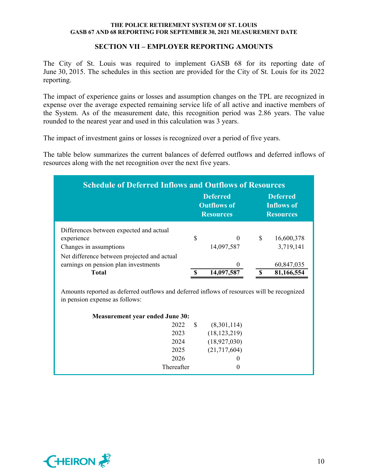### **SECTION VII – EMPLOYER REPORTING AMOUNTS**

The City of St. Louis was required to implement GASB 68 for its reporting date of June 30, 2015. The schedules in this section are provided for the City of St. Louis for its 2022 reporting.

The impact of experience gains or losses and assumption changes on the TPL are recognized in expense over the average expected remaining service life of all active and inactive members of the System. As of the measurement date, this recognition period was 2.86 years. The value rounded to the nearest year and used in this calculation was 3 years.

The impact of investment gains or losses is recognized over a period of five years.

The table below summarizes the current balances of deferred outflows and deferred inflows of resources along with the net recognition over the next five years.

| <b>Schedule of Deferred Inflows and Outflows of Resources</b> |            |   |                                                   |  |  |  |  |  |  |  |  |
|---------------------------------------------------------------|------------|---|---------------------------------------------------|--|--|--|--|--|--|--|--|
| <b>Deferred</b><br><b>Outflows of</b><br><b>Resources</b>     |            |   | <b>Deferred</b><br>Inflows of<br><b>Resources</b> |  |  |  |  |  |  |  |  |
|                                                               |            |   |                                                   |  |  |  |  |  |  |  |  |
| \$                                                            | $\Omega$   | S | 16,600,378                                        |  |  |  |  |  |  |  |  |
|                                                               | 14,097,587 |   | 3,719,141                                         |  |  |  |  |  |  |  |  |
|                                                               |            |   |                                                   |  |  |  |  |  |  |  |  |
|                                                               |            |   | 60,847,035                                        |  |  |  |  |  |  |  |  |
|                                                               | 14,097,587 |   | 81,166,554                                        |  |  |  |  |  |  |  |  |
|                                                               |            |   |                                                   |  |  |  |  |  |  |  |  |

Amounts reported as deferred outflows and deferred inflows of resources will be recognized in pension expense as follows:

| <b>Measurement year ended June 30:</b> |            |   |                |  |  |  |  |  |  |  |
|----------------------------------------|------------|---|----------------|--|--|--|--|--|--|--|
|                                        | 2022       | S | (8,301,114)    |  |  |  |  |  |  |  |
|                                        | 2023       |   | (18, 123, 219) |  |  |  |  |  |  |  |
|                                        | 2024       |   | (18,927,030)   |  |  |  |  |  |  |  |
|                                        | 2025       |   | (21,717,604)   |  |  |  |  |  |  |  |
|                                        | 2026       |   | $\theta$       |  |  |  |  |  |  |  |
|                                        | Thereafter |   | $\theta$       |  |  |  |  |  |  |  |
|                                        |            |   |                |  |  |  |  |  |  |  |

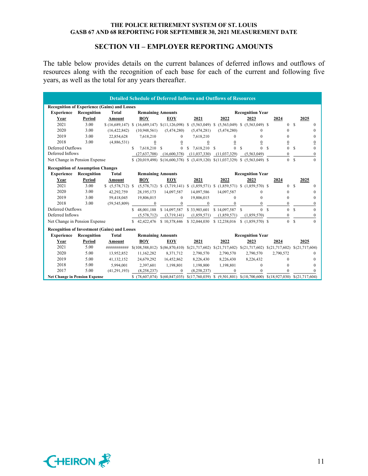### **SECTION VII – EMPLOYER REPORTING AMOUNTS**

The table below provides details on the current balances of deferred inflows and outflows of resources along with the recognition of each base for each of the current and following five years, as well as the total for any years thereafter.

| <b>Detailed Schedule of Deferred Inflows and Outflows of Resources</b> |                                                     |                                   |                                                                                                                       |                  |                                                                                      |                                               |                         |                           |                           |  |
|------------------------------------------------------------------------|-----------------------------------------------------|-----------------------------------|-----------------------------------------------------------------------------------------------------------------------|------------------|--------------------------------------------------------------------------------------|-----------------------------------------------|-------------------------|---------------------------|---------------------------|--|
| <b>Recognition of Experience (Gains) and Losses</b>                    |                                                     |                                   |                                                                                                                       |                  |                                                                                      |                                               |                         |                           |                           |  |
| <b>Experience</b>                                                      | Recognition                                         | Total                             | <b>Remaining Amounts</b>                                                                                              |                  |                                                                                      | <b>Recognition Year</b>                       |                         |                           |                           |  |
| Year                                                                   | Period                                              | Amount                            | <b>BOY</b>                                                                                                            | EOY              | 2021                                                                                 | 2022                                          | 2023                    | 2024                      | 2025                      |  |
| 2021                                                                   | 3.00                                                |                                   | $(16,689,147)$ \; (16,689,147) \; (11,126,098) \; (5,563,049) \; (5,563,049) \; (5,563,049) \;                        |                  |                                                                                      |                                               |                         | $\Omega$                  | $\mathcal{S}$<br>$\Omega$ |  |
| 2020                                                                   | 3.00                                                | (16, 422, 842)                    | (10,948,561)                                                                                                          | (5,474,280)      | (5,474,281)                                                                          | (5,474,280)                                   | 0                       | $\Omega$                  | 0                         |  |
| 2019                                                                   | 3.00                                                | 22,854,628                        | 7,618,210                                                                                                             | $\theta$         | 7,618,210                                                                            | $\Omega$                                      | $\Omega$                | $\Omega$                  | $\Omega$                  |  |
| 2018                                                                   | 3.00                                                | (4,886,531)                       | $\overline{0}$                                                                                                        | $\boldsymbol{0}$ | $\overline{0}$                                                                       | $\boldsymbol{0}$                              | 0                       | $\boldsymbol{0}$          | $\boldsymbol{0}$          |  |
| Deferred Outflows                                                      |                                                     |                                   | \$.<br>7,618,210 \$                                                                                                   | $\Omega$         | S.<br>7.618.210 \$                                                                   | $\theta$                                      | S<br>$\Omega$           | <b>S</b><br>$\theta$      | S<br>$\theta$             |  |
| Deferred Inflows                                                       |                                                     |                                   | (27,637,708)                                                                                                          | (16,600,378)     | (11,037,330)                                                                         | (11, 037, 329)                                | (5,563,049)             | $\Omega$                  | $\mathbf{0}$              |  |
| Net Change in Pension Expense                                          |                                                     |                                   | $(20,019,498)$ $(16,600,378)$ $(3,419,120)$ $(11,037,329)$ $($                                                        |                  |                                                                                      |                                               | $(5.563.049)$ \$        | $\Omega$                  | <sup>S</sup><br>$\Omega$  |  |
| <b>Recognition of Assumption Changes</b>                               |                                                     |                                   |                                                                                                                       |                  |                                                                                      |                                               |                         |                           |                           |  |
| <b>Experience</b>                                                      | Recognition                                         | <b>Remaining Amounts</b><br>Total |                                                                                                                       |                  |                                                                                      | <b>Recognition Year</b>                       |                         |                           |                           |  |
| Year                                                                   | Period                                              | Amount                            | <b>BOY</b>                                                                                                            | <b>EOY</b>       | 2021                                                                                 | 2022                                          | 2023                    | 2024                      | 2025                      |  |
| 2021                                                                   | 3.00                                                |                                   |                                                                                                                       |                  | $(5,578,712)$ \$ $(3,719,141)$ \$ $(1,859,571)$ \$ $(1,859,571)$ \$ $(1,859,570)$ \$ |                                               |                         | $\Omega$                  | $\mathcal{S}$<br>$\Omega$ |  |
| 2020                                                                   | 3.00                                                | 42,292,759                        | 28,195,173                                                                                                            | 14,097,587       | 14,097,586                                                                           | 14,097,587                                    | $\Omega$                | $\mathbf{0}$              | $\Omega$                  |  |
| 2019                                                                   | 3.00                                                | 59,418,045                        | 19,806,015                                                                                                            | $\Omega$         | 19,806,015                                                                           | $\Omega$                                      | $\Omega$                | $\theta$                  | $\Omega$                  |  |
| 2018                                                                   | 3.00                                                | (59, 545, 809)                    | $\mathbf{0}$                                                                                                          | $\mathbf{0}$     | $\mathbf{0}$                                                                         | $\Omega$                                      | $\Omega$                | $\Omega$                  | $\theta$                  |  |
| Deferred Outflows                                                      |                                                     |                                   | 48,001,188                                                                                                            | \$14,097,587     | \$33,903,601                                                                         | \$14,097,587                                  | $\Omega$<br>-8          | $\Omega$<br>$\mathcal{S}$ | $\mathcal{S}$<br>$\Omega$ |  |
| Deferred Inflows                                                       |                                                     |                                   | (5,578,712)                                                                                                           | (3,719,141)      | (1,859,571)                                                                          | (1,859,571)                                   | (1,859,570)             | $\theta$                  | $\mathbf{0}$              |  |
| Net Change in Pension Expense                                          |                                                     |                                   | \$42,422,476                                                                                                          | \$10,378,446     | \$32,044,030                                                                         | \$12,238,016                                  |                         | $\Omega$                  | $\Omega$<br>-S            |  |
|                                                                        | <b>Recognition of Investment (Gains) and Losses</b> |                                   |                                                                                                                       |                  |                                                                                      |                                               |                         |                           |                           |  |
| <b>Experience</b>                                                      | Recognition                                         | Total                             | <b>Remaining Amounts</b>                                                                                              |                  |                                                                                      |                                               | <b>Recognition Year</b> |                           |                           |  |
| Year                                                                   | Period                                              | Amount                            | <b>BOY</b>                                                                                                            | EOY              | 2021                                                                                 | 2022                                          | 2023                    | 2024                      | 2025                      |  |
| 2021                                                                   | 5.00                                                | ###########                       | $$(108,588,012) \quad $(86,870,410)$                                                                                  |                  | \$(21,717,602)                                                                       | $$(21,717,602) \$(21,717,602) \$(21,717,602)$ |                         |                           | \$(21,717,604)            |  |
| 2020                                                                   | 5.00                                                | 13,952,852                        | 11,162,282                                                                                                            | 8,371,712        | 2,790,570                                                                            | 2,790,570                                     | 2,790,570               | 2,790,572                 | $\Omega$                  |  |
| 2019                                                                   | 5.00                                                | 41,132,152                        | 24,679,292                                                                                                            | 16,452,862       | 8,226,430                                                                            | 8,226,430                                     | 8,226,432               | $\Omega$                  | $\Omega$                  |  |
| 2018                                                                   | 5.00                                                | 5.994.001                         | 2,397,601                                                                                                             | 1,198,801        | 1,198,800                                                                            | 1,198,801                                     | $\theta$                | $\Omega$                  | $\Omega$                  |  |
| 2017                                                                   | 5.00                                                | (41, 291, 193)                    | (8,258,237)                                                                                                           | $\theta$         | (8,258,237)                                                                          | $\Omega$                                      | $\Omega$                | $\theta$                  | $\theta$                  |  |
| <b>Net Change in Pension Expense</b>                                   |                                                     |                                   | $$$ (78,607,074) $$$ (60,847,035) $$$ (17,760,039) $$$ (9,501,801) $$$ (10,700,600) $$$ (18,927,030) $$$ (21,717,604) |                  |                                                                                      |                                               |                         |                           |                           |  |

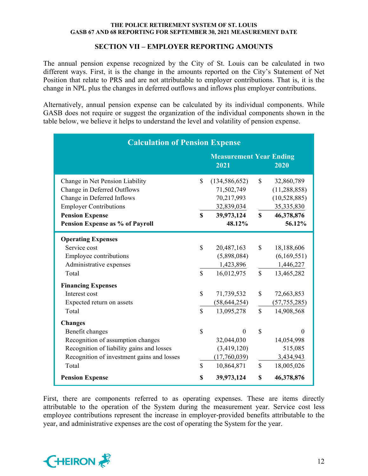### **SECTION VII – EMPLOYER REPORTING AMOUNTS**

The annual pension expense recognized by the City of St. Louis can be calculated in two different ways. First, it is the change in the amounts reported on the City's Statement of Net Position that relate to PRS and are not attributable to employer contributions. That is, it is the change in NPL plus the changes in deferred outflows and inflows plus employer contributions.

Alternatively, annual pension expense can be calculated by its individual components. While GASB does not require or suggest the organization of the individual components shown in the table below, we believe it helps to understand the level and volatility of pension expense.

| <b>Calculation of Pension Expense</b>                                                                                                                                      |                              |                                                                     |                              |                                                              |  |  |  |  |  |
|----------------------------------------------------------------------------------------------------------------------------------------------------------------------------|------------------------------|---------------------------------------------------------------------|------------------------------|--------------------------------------------------------------|--|--|--|--|--|
| <b>Measurement Year Ending</b><br>2021<br>2020                                                                                                                             |                              |                                                                     |                              |                                                              |  |  |  |  |  |
| Change in Net Pension Liability<br>Change in Deferred Outflows<br>Change in Deferred Inflows                                                                               | $\mathbb{S}$                 | (134, 586, 652)<br>71,502,749<br>70,217,993                         | \$                           | 32,860,789<br>(11, 288, 858)<br>(10,528,885)                 |  |  |  |  |  |
| <b>Employer Contributions</b><br><b>Pension Expense</b><br>Pension Expense as % of Payroll                                                                                 | $\mathbf S$                  | 32,839,034<br>39,973,124<br>48.12%                                  | $\mathbf S$                  | 35,335,830<br>46,378,876<br>56.12%                           |  |  |  |  |  |
| <b>Operating Expenses</b><br>Service cost<br>Employee contributions<br>Administrative expenses<br>Total                                                                    | $\mathbb{S}$<br>$\mathbb{S}$ | 20,487,163<br>(5,898,084)<br>1,423,896<br>16,012,975                | \$<br>$\mathbb{S}$           | 18,188,606<br>(6,169,551)<br>1,446,227<br>13,465,282         |  |  |  |  |  |
| <b>Financing Expenses</b><br>Interest cost<br>Expected return on assets<br>Total                                                                                           | \$<br>$\mathbb{S}$           | 71,739,532<br>(58, 644, 254)<br>13,095,278                          | \$<br>\$                     | 72,663,853<br>(57, 755, 285)<br>14,908,568                   |  |  |  |  |  |
| <b>Changes</b><br>Benefit changes<br>Recognition of assumption changes<br>Recognition of liability gains and losses<br>Recognition of investment gains and losses<br>Total | $\mathbb{S}$<br>$\mathbb{S}$ | $\theta$<br>32,044,030<br>(3,419,120)<br>(17,760,039)<br>10,864,871 | $\mathbf S$<br>$\mathcal{S}$ | $\Omega$<br>14,054,998<br>515,085<br>3,434,943<br>18,005,026 |  |  |  |  |  |
| <b>Pension Expense</b>                                                                                                                                                     | \$                           | 39,973,124                                                          | \$                           | 46,378,876                                                   |  |  |  |  |  |

First, there are components referred to as operating expenses. These are items directly attributable to the operation of the System during the measurement year. Service cost less employee contributions represent the increase in employer-provided benefits attributable to the year, and administrative expenses are the cost of operating the System for the year.

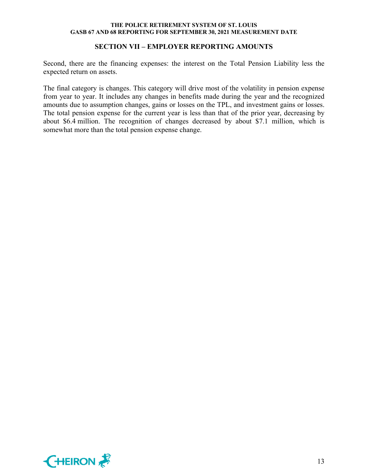#### **SECTION VII – EMPLOYER REPORTING AMOUNTS**

Second, there are the financing expenses: the interest on the Total Pension Liability less the expected return on assets.

The final category is changes. This category will drive most of the volatility in pension expense from year to year. It includes any changes in benefits made during the year and the recognized amounts due to assumption changes, gains or losses on the TPL, and investment gains or losses. The total pension expense for the current year is less than that of the prior year, decreasing by about \$6.4 million. The recognition of changes decreased by about \$7.1 million, which is somewhat more than the total pension expense change.

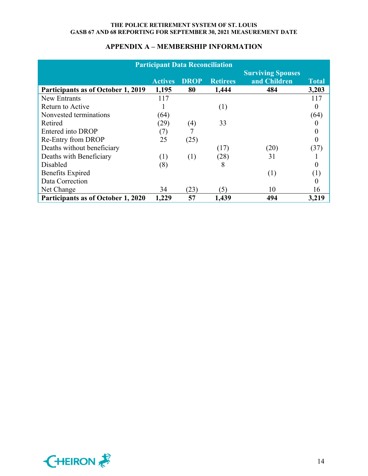| <b>Participant Data Reconciliation</b> |                |             |                 |                                          |              |  |  |  |
|----------------------------------------|----------------|-------------|-----------------|------------------------------------------|--------------|--|--|--|
|                                        | <b>Actives</b> | <b>DROP</b> | <b>Retirees</b> | <b>Surviving Spouses</b><br>and Children | <b>Total</b> |  |  |  |
| Participants as of October 1, 2019     | 1,195          | 80          | 1,444           | 484                                      | 3,203        |  |  |  |
| <b>New Entrants</b>                    | 117            |             |                 |                                          | 117          |  |  |  |
| Return to Active                       |                |             | (1)             |                                          | 0            |  |  |  |
| Nonvested terminations                 | (64)           |             |                 |                                          | (64)         |  |  |  |
| Retired                                | (29)           | (4)         | 33              |                                          |              |  |  |  |
| Entered into DROP                      | (7)            |             |                 |                                          | 0            |  |  |  |
| Re-Entry from DROP                     | 25             | (25)        |                 |                                          |              |  |  |  |
| Deaths without beneficiary             |                |             | (17)            | (20)                                     | (37)         |  |  |  |
| Deaths with Beneficiary                | (1)            | (1)         | (28)            | 31                                       |              |  |  |  |
| Disabled                               | (8)            |             | 8               |                                          |              |  |  |  |
| <b>Benefits Expired</b>                |                |             |                 | (1)                                      | (1)          |  |  |  |
| Data Correction                        |                |             |                 |                                          |              |  |  |  |
| Net Change                             | 34             | (23)        | $\mathfrak{B}$  | 10                                       | 16           |  |  |  |
| Participants as of October 1, 2020     | 1,229          | 57          | 1,439           | 494                                      | 3,219        |  |  |  |

# **APPENDIX A – MEMBERSHIP INFORMATION**

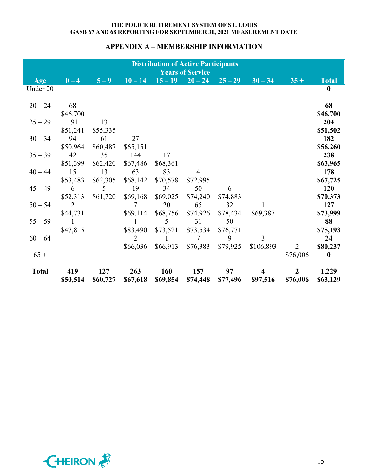# **APPENDIX A – MEMBERSHIP INFORMATION**

| <b>Distribution of Active Participants</b><br><b>Years of Service</b> |                |          |                |          |                     |           |                |                |                  |  |
|-----------------------------------------------------------------------|----------------|----------|----------------|----------|---------------------|-----------|----------------|----------------|------------------|--|
| Age                                                                   | $0-4$          | $5-9$    | $10 - 14$      |          | $15 - 19$ $20 - 24$ | $25 - 29$ | $30 - 34$      | $35 +$         | <b>Total</b>     |  |
| Under 20                                                              |                |          |                |          |                     |           |                |                | $\mathbf{0}$     |  |
|                                                                       |                |          |                |          |                     |           |                |                |                  |  |
| $20 - 24$                                                             | 68             |          |                |          |                     |           |                |                | 68               |  |
|                                                                       | \$46,700       |          |                |          |                     |           |                |                | \$46,700         |  |
| $25 - 29$                                                             | 191            | 13       |                |          |                     |           |                |                | 204              |  |
|                                                                       | \$51,241       | \$55,335 |                |          |                     |           |                |                | \$51,502         |  |
| $30 - 34$                                                             | 94             | 61       | 27             |          |                     |           |                |                | 182              |  |
|                                                                       | \$50,964       | \$60,487 | \$65,151       |          |                     |           |                |                | \$56,260         |  |
| $35 - 39$                                                             | 42             | 35       | 144            | 17       |                     |           |                |                | 238              |  |
|                                                                       | \$51,399       | \$62,420 | \$67,486       | \$68,361 |                     |           |                |                | \$63,965         |  |
| $40 - 44$                                                             | 15             | 13       | 63             | 83       | $\overline{4}$      |           |                |                | 178              |  |
|                                                                       | \$53,483       | \$62,305 | \$68,142       | \$70,578 | \$72,995            |           |                |                | \$67,725         |  |
| $45 - 49$                                                             | 6              | 5        | 19             | 34       | 50                  | 6         |                |                | <b>120</b>       |  |
|                                                                       | \$52,313       | \$61,720 | \$69,168       | \$69,025 | \$74,240            | \$74,883  |                |                | \$70,373         |  |
| $50 - 54$                                                             | $\overline{2}$ |          | 7              | 20       | 65                  | 32        |                |                | 127              |  |
|                                                                       | \$44,731       |          | \$69,114       | \$68,756 | \$74,926            | \$78,434  | \$69,387       |                | \$73,999         |  |
| $55 - 59$                                                             |                |          | 1              | 5        | 31                  | 50        |                |                | 88               |  |
|                                                                       | \$47,815       |          | \$83,490       | \$73,521 | \$73,534            | \$76,771  |                |                | \$75,193         |  |
| $60 - 64$                                                             |                |          | $\overline{2}$ | 1        | $7\overline{ }$     | 9         | $\overline{3}$ |                | 24               |  |
|                                                                       |                |          | \$66,036       | \$66,913 | \$76,383            | \$79,925  | \$106,893      | $\overline{2}$ | \$80,237         |  |
| $65+$                                                                 |                |          |                |          |                     |           |                | \$76,006       | $\boldsymbol{0}$ |  |
|                                                                       |                |          |                |          |                     |           |                |                |                  |  |
| <b>Total</b>                                                          | 419            | 127      | 263            | 160      | 157                 | 97        | 4              | $\overline{2}$ | 1,229            |  |
|                                                                       | \$50,514       | \$60,727 | \$67,618       | \$69,854 | \$74,448            | \$77,496  | \$97,516       | \$76,006       | \$63,129         |  |

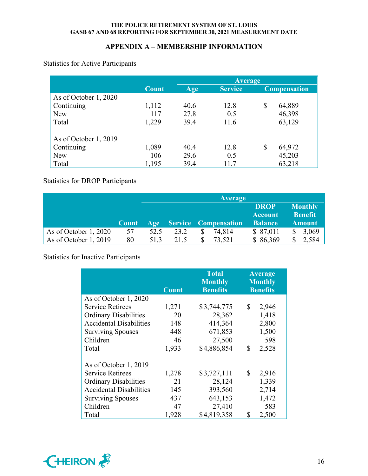# **APPENDIX A – MEMBERSHIP INFORMATION**

Statistics for Active Participants

|                       |       | <b>Average</b> |                |    |                     |  |
|-----------------------|-------|----------------|----------------|----|---------------------|--|
|                       | Count | Age            | <b>Service</b> |    | <b>Compensation</b> |  |
| As of October 1, 2020 |       |                |                |    |                     |  |
| Continuing            | 1,112 | 40.6           | 12.8           | \$ | 64,889              |  |
| <b>New</b>            | 117   | 27.8           | 0.5            |    | 46,398              |  |
| Total                 | 1,229 | 39.4           | 11.6           |    | 63,129              |  |
| As of October 1, 2019 |       |                |                |    |                     |  |
| Continuing            | 1,089 | 40.4           | 12.8           | \$ | 64,972              |  |
| <b>New</b>            | 106   | 29.6           | 0.5            |    | 45,203              |  |
| Total                 | 1,195 | 39.4           | 11.7           |    | 63,218              |  |

Statistics for DROP Participants

|                       |              |      |      | <b>Average</b>           |                               |                                  |
|-----------------------|--------------|------|------|--------------------------|-------------------------------|----------------------------------|
|                       |              |      |      |                          | <b>DROP</b><br><b>Account</b> | <b>Monthly</b><br><b>Benefit</b> |
|                       | <b>Count</b> |      |      | Age Service Compensation | <b>Balance</b>                | <b>Amount</b>                    |
| As of October 1, 2020 | 57           | 52.5 | 23.2 | \$<br>74,814             | \$ 87,011                     | 3,069                            |
| As of October 1, 2019 | 80           | 51.3 | 21.5 | 73,521                   | \$86,369                      | 2,584                            |

Statistics for Inactive Participants

|                                | <b>Count</b> | <b>Total</b><br><b>Monthly</b><br><b>Benefits</b> | <b>Average</b><br><b>Monthly</b><br><b>Benefits</b> |
|--------------------------------|--------------|---------------------------------------------------|-----------------------------------------------------|
| As of October 1, 2020          |              |                                                   |                                                     |
| <b>Service Retirees</b>        | 1,271        | \$3,744,775                                       | \$<br>2,946                                         |
| <b>Ordinary Disabilities</b>   | 20           | 28,362                                            | 1,418                                               |
| <b>Accidental Disabilities</b> | 148          | 414,364                                           | 2,800                                               |
| <b>Surviving Spouses</b>       | 448          | 671,853                                           | 1,500                                               |
| Children                       | 46           | 27,500                                            | 598                                                 |
| Total                          | 1,933        | \$4,886,854                                       | \$<br>2,528                                         |
| As of October 1, 2019          |              |                                                   |                                                     |
| <b>Service Retirees</b>        | 1,278        | \$3,727,111                                       | \$<br>2,916                                         |
| <b>Ordinary Disabilities</b>   | 21           | 28,124                                            | 1,339                                               |
| <b>Accidental Disabilities</b> | 145          | 393,560                                           | 2,714                                               |
| <b>Surviving Spouses</b>       | 437          | 643,153                                           | 1,472                                               |
| Children                       | 47           | 27,410                                            | 583                                                 |
| Total                          | 1,928        | \$4,819,358                                       | \$<br>2,500                                         |

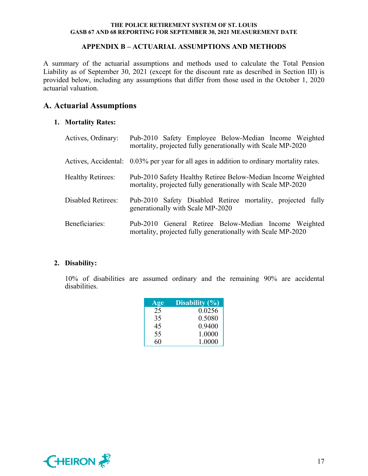### **APPENDIX B – ACTUARIAL ASSUMPTIONS AND METHODS**

A summary of the actuarial assumptions and methods used to calculate the Total Pension Liability as of September 30, 2021 (except for the discount rate as described in Section III) is provided below, including any assumptions that differ from those used in the October 1, 2020 actuarial valuation.

# **A. Actuarial Assumptions**

### **1. Mortality Rates:**

| Actives, Ordinary:        | Pub-2010 Safety Employee Below-Median Income Weighted<br>mortality, projected fully generationally with Scale MP-2020        |
|---------------------------|------------------------------------------------------------------------------------------------------------------------------|
|                           | Actives, Accidental: 0.03% per year for all ages in addition to ordinary mortality rates.                                    |
| <b>Healthy Retirees:</b>  | Pub-2010 Safety Healthy Retiree Below-Median Income Weighted<br>mortality, projected fully generationally with Scale MP-2020 |
| <b>Disabled Retirees:</b> | Pub-2010 Safety Disabled Retiree mortality, projected fully<br>generationally with Scale MP-2020                             |
| Beneficiaries:            | Pub-2010 General Retiree Below-Median Income Weighted<br>mortality, projected fully generationally with Scale MP-2020        |

### **2. Disability:**

10% of disabilities are assumed ordinary and the remaining 90% are accidental disabilities.

| Age | Disability $(\% )$ |
|-----|--------------------|
| 25  | 0.0256             |
| 35  | 0.5080             |
| 45  | 0.9400             |
| 55  | 1.0000             |
| 60  | 1.0000             |

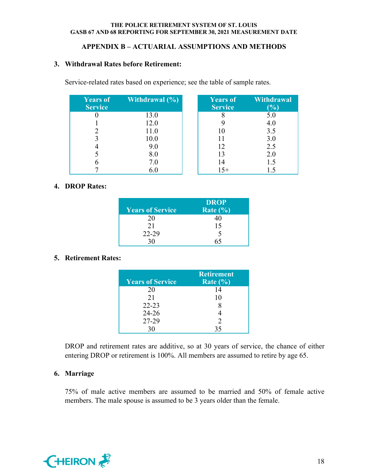# **APPENDIX B – ACTUARIAL ASSUMPTIONS AND METHODS**

### **3. Withdrawal Rates before Retirement:**

Service-related rates based on experience; see the table of sample rates.

| <b>Years of</b><br><b>Service</b> | <b>Withdrawal</b> $(\%)$ | <b>Years of</b><br><b>Service</b> | <b>Withdrawal</b><br>$\left( \frac{0}{0} \right)$ |
|-----------------------------------|--------------------------|-----------------------------------|---------------------------------------------------|
|                                   | 13.0                     |                                   | 5.0                                               |
|                                   | 12.0                     |                                   | 4.0                                               |
|                                   | 11.0                     |                                   | 3.5                                               |
| 2                                 | 10.0                     |                                   | 3.0                                               |
|                                   | 9.0                      | 12                                | 2.5                                               |
|                                   | 8.0                      | 13                                | 2.0                                               |
|                                   | $7.0\,$                  | 14                                | 1.5                                               |
|                                   | 6.0                      | $15+$                             |                                                   |

## **4. DROP Rates:**

| <b>Years of Service</b> | <b>DROP</b><br>Rate $(\% )$ |
|-------------------------|-----------------------------|
| 20                      |                             |
| 21                      | 15                          |
| 22-29                   | 5                           |
|                         |                             |

# **5. Retirement Rates:**

| <b>Years of Service</b> | <b>Retirement</b><br>Rate $(\% )$ |
|-------------------------|-----------------------------------|
| 20                      | 14                                |
| 21                      | 10                                |
| $22 - 23$               |                                   |
| $24 - 26$               |                                   |
| 27-29                   | $\mathcal{D}$                     |
|                         | 35                                |

DROP and retirement rates are additive, so at 30 years of service, the chance of either entering DROP or retirement is 100%. All members are assumed to retire by age 65.

# **6. Marriage**

75% of male active members are assumed to be married and 50% of female active members. The male spouse is assumed to be 3 years older than the female.

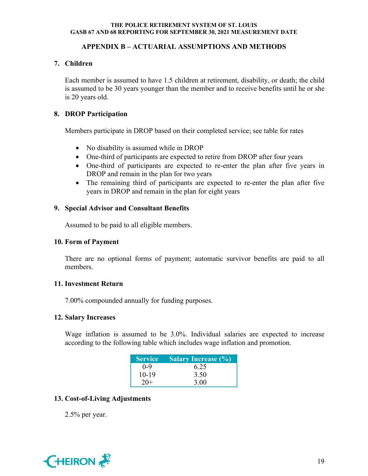# **APPENDIX B – ACTUARIAL ASSUMPTIONS AND METHODS**

# **7. Children**

Each member is assumed to have 1.5 children at retirement, disability, or death; the child is assumed to be 30 years younger than the member and to receive benefits until he or she is 20 years old.

## **8. DROP Participation**

Members participate in DROP based on their completed service; see table for rates

- No disability is assumed while in DROP
- One-third of participants are expected to retire from DROP after four years
- One-third of participants are expected to re-enter the plan after five years in DROP and remain in the plan for two years
- The remaining third of participants are expected to re-enter the plan after five years in DROP and remain in the plan for eight years

### **9. Special Advisor and Consultant Benefits**

Assumed to be paid to all eligible members.

### **10. Form of Payment**

There are no optional forms of payment; automatic survivor benefits are paid to all members.

### **11. Investment Return**

7.00% compounded annually for funding purposes.

### **12. Salary Increases**

 Wage inflation is assumed to be 3.0%. Individual salaries are expected to increase according to the following table which includes wage inflation and promotion.

| <b>Service</b> | <b>Salary Increase (%)</b> |
|----------------|----------------------------|
| $0 - 9$        | 6.25                       |
| $10-19$        | 3.50                       |
| $20+$          | 3.00                       |

# **13. Cost-of-Living Adjustments**

2.5% per year.

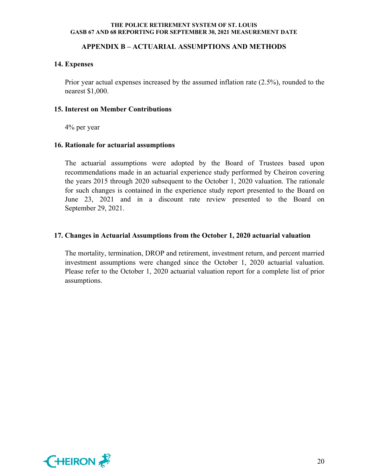### **APPENDIX B – ACTUARIAL ASSUMPTIONS AND METHODS**

#### **14. Expenses**

Prior year actual expenses increased by the assumed inflation rate (2.5%), rounded to the nearest \$1,000.

#### **15. Interest on Member Contributions**

4% per year

### **16. Rationale for actuarial assumptions**

The actuarial assumptions were adopted by the Board of Trustees based upon recommendations made in an actuarial experience study performed by Cheiron covering the years 2015 through 2020 subsequent to the October 1, 2020 valuation. The rationale for such changes is contained in the experience study report presented to the Board on June 23, 2021 and in a discount rate review presented to the Board on September 29, 2021.

#### **17. Changes in Actuarial Assumptions from the October 1, 2020 actuarial valuation**

The mortality, termination, DROP and retirement, investment return, and percent married investment assumptions were changed since the October 1, 2020 actuarial valuation. Please refer to the October 1, 2020 actuarial valuation report for a complete list of prior assumptions.

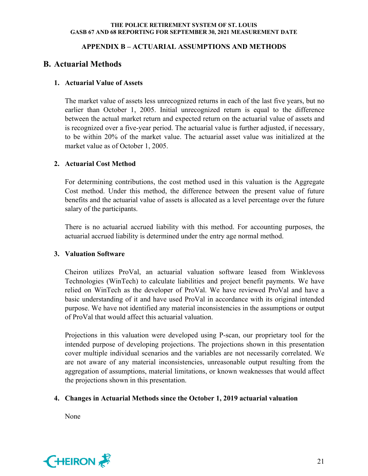# **APPENDIX B – ACTUARIAL ASSUMPTIONS AND METHODS**

# **B. Actuarial Methods**

# **1. Actuarial Value of Assets**

The market value of assets less unrecognized returns in each of the last five years, but no earlier than October 1, 2005. Initial unrecognized return is equal to the difference between the actual market return and expected return on the actuarial value of assets and is recognized over a five-year period. The actuarial value is further adjusted, if necessary, to be within 20% of the market value. The actuarial asset value was initialized at the market value as of October 1, 2005.

# **2. Actuarial Cost Method**

For determining contributions, the cost method used in this valuation is the Aggregate Cost method. Under this method, the difference between the present value of future benefits and the actuarial value of assets is allocated as a level percentage over the future salary of the participants.

There is no actuarial accrued liability with this method. For accounting purposes, the actuarial accrued liability is determined under the entry age normal method.

# **3. Valuation Software**

Cheiron utilizes ProVal, an actuarial valuation software leased from Winklevoss Technologies (WinTech) to calculate liabilities and project benefit payments. We have relied on WinTech as the developer of ProVal. We have reviewed ProVal and have a basic understanding of it and have used ProVal in accordance with its original intended purpose. We have not identified any material inconsistencies in the assumptions or output of ProVal that would affect this actuarial valuation.

Projections in this valuation were developed using P-scan, our proprietary tool for the intended purpose of developing projections. The projections shown in this presentation cover multiple individual scenarios and the variables are not necessarily correlated. We are not aware of any material inconsistencies, unreasonable output resulting from the aggregation of assumptions, material limitations, or known weaknesses that would affect the projections shown in this presentation.

# **4. Changes in Actuarial Methods since the October 1, 2019 actuarial valuation**

None

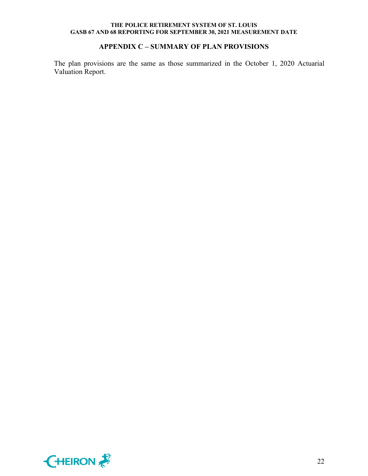# **APPENDIX C – SUMMARY OF PLAN PROVISIONS**

The plan provisions are the same as those summarized in the October 1, 2020 Actuarial Valuation Report.

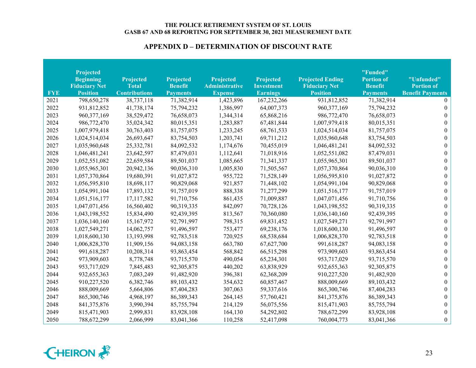| <b>FYE</b> | Projected<br><b>Beginning</b><br><b>Fiduciary Net</b><br><b>Position</b> | <b>Projected</b><br><b>Total</b><br><b>Contributions</b> | <b>Projected</b><br><b>Benefit</b><br><b>Payments</b> | <b>Projected</b><br><b>Administrative</b><br><b>Expense</b> | Projected<br><b>Investment</b><br><b>Earnings</b> | <b>Projected Ending</b><br><b>Fiduciary Net</b><br><b>Position</b> | "Funded"<br><b>Portion of</b><br><b>Benefit</b><br><b>Payments</b> | "Unfunded"<br><b>Portion of</b><br><b>Benefit Payments</b> |
|------------|--------------------------------------------------------------------------|----------------------------------------------------------|-------------------------------------------------------|-------------------------------------------------------------|---------------------------------------------------|--------------------------------------------------------------------|--------------------------------------------------------------------|------------------------------------------------------------|
| 2021       | 798,650,278                                                              | 38,737,118                                               | 71,382,914                                            | 1,423,896                                                   | 167,232,266                                       | 931,812,852                                                        | 71,382,914                                                         |                                                            |
| 2022       | 931,812,852                                                              | 41,738,174                                               | 75,794,232                                            | 1,386,997                                                   | 64,007,373                                        | 960, 377, 169                                                      | 75,794,232                                                         | $\theta$                                                   |
| 2023       | 960, 377, 169                                                            | 38,529,472                                               | 76,658,073                                            | 1,344,314                                                   | 65,868,216                                        | 986,772,470                                                        | 76,658,073                                                         | $\theta$                                                   |
| 2024       | 986,772,470                                                              | 35,024,342                                               | 80,015,351                                            | 1,283,887                                                   | 67,481,844                                        | 1,007,979,418                                                      | 80,015,351                                                         | $\theta$                                                   |
| 2025       | 1,007,979,418                                                            | 30,763,403                                               | 81,757,075                                            | 1,233,245                                                   | 68,761,533                                        | 1,024,514,034                                                      | 81,757,075                                                         | $\theta$                                                   |
| 2026       | 1,024,514,034                                                            | 26,693,647                                               | 83,754,503                                            | 1,203,741                                                   | 69,711,212                                        | 1,035,960,648                                                      | 83,754,503                                                         | $\theta$                                                   |
| 2027       | 1,035,960,648                                                            | 25,332,781                                               | 84,092,532                                            | 1,174,676                                                   | 70,455,019                                        | 1,046,481,241                                                      | 84,092,532                                                         | $\Omega$                                                   |
| 2028       | 1,046,481,241                                                            | 23,642,597                                               | 87,479,031                                            | 1,112,641                                                   | 71,018,916                                        | 1,052,551,082                                                      | 87,479,031                                                         | $\Omega$                                                   |
| 2029       | 1,052,551,082                                                            | 22,659,584                                               | 89,501,037                                            | 1,085,665                                                   | 71,341,337                                        | 1,055,965,301                                                      | 89,501,037                                                         | $\theta$                                                   |
| 2030       | 1,055,965,301                                                            | 20,942,136                                               | 90,036,310                                            | 1,005,830                                                   | 71,505,567                                        | 1,057,370,864                                                      | 90,036,310                                                         | $\theta$                                                   |
| 2031       | 1,057,370,864                                                            | 19,680,391                                               | 91,027,872                                            | 955,722                                                     | 71,528,149                                        | 1,056,595,810                                                      | 91,027,872                                                         | $\theta$                                                   |
| 2032       | 1,056,595,810                                                            | 18,698,117                                               | 90,829,068                                            | 921,857                                                     | 71,448,102                                        | 1,054,991,104                                                      | 90,829,068                                                         | $\theta$                                                   |
| 2033       | 1,054,991,104                                                            | 17,893,132                                               | 91,757,019                                            | 888,338                                                     | 71,277,299                                        | 1,051,516,177                                                      | 91,757,019                                                         | $\theta$                                                   |
| 2034       | 1,051,516,177                                                            | 17,117,582                                               | 91,710,756                                            | 861,435                                                     | 71,009,887                                        | 1,047,071,456                                                      | 91,710,756                                                         | $\theta$                                                   |
| 2035       | 1,047,071,456                                                            | 16,560,402                                               | 90,319,335                                            | 842,097                                                     | 70,728,126                                        | 1,043,198,552                                                      | 90,319,335                                                         | $\Omega$                                                   |
| 2036       | 1,043,198,552                                                            | 15,834,490                                               | 92,439,395                                            | 813,567                                                     | 70,360,080                                        | 1,036,140,160                                                      | 92,439,395                                                         | $\theta$                                                   |
| 2037       | 1,036,140,160                                                            | 15,167,972                                               | 92,791,997                                            | 798,315                                                     | 69,831,452                                        | 1,027,549,271                                                      | 92,791,997                                                         | $\theta$                                                   |
| 2038       | 1,027,549,271                                                            | 14,062,757                                               | 91,496,597                                            | 753,477                                                     | 69,238,176                                        | 1,018,600,130                                                      | 91,496,597                                                         | $\theta$                                                   |
| 2039       | 1,018,600,130                                                            | 13,193,998                                               | 92,783,518                                            | 720,925                                                     | 68,538,684                                        | 1,006,828,370                                                      | 92,783,518                                                         | $\theta$                                                   |
| 2040       | 1,006,828,370                                                            | 11,909,156                                               | 94,083,158                                            | 663,780                                                     | 67,627,700                                        | 991,618,287                                                        | 94,083,158                                                         | $\theta$                                                   |
| 2041       | 991,618,287                                                              | 10,208,314                                               | 93,863,454                                            | 568,842                                                     | 66,515,298                                        | 973,909,603                                                        | 93,863,454                                                         | $\Omega$                                                   |
| 2042       | 973,909,603                                                              | 8,778,748                                                | 93,715,570                                            | 490,054                                                     | 65,234,301                                        | 953,717,029                                                        | 93,715,570                                                         | $\Omega$                                                   |
| 2043       | 953,717,029                                                              | 7,845,483                                                | 92,305,875                                            | 440,202                                                     | 63,838,929                                        | 932,655,363                                                        | 92,305,875                                                         | $\theta$                                                   |
| 2044       | 932,655,363                                                              | 7,083,249                                                | 91,482,920                                            | 396,381                                                     | 62,368,209                                        | 910,227,520                                                        | 91,482,920                                                         | $\Omega$                                                   |
| 2045       | 910,227,520                                                              | 6,382,746                                                | 89,103,432                                            | 354,632                                                     | 60,857,467                                        | 888,009,669                                                        | 89,103,432                                                         | $\Omega$                                                   |
| 2046       | 888,009,669                                                              | 5,664,806                                                | 87,404,283                                            | 307,063                                                     | 59,337,616                                        | 865,300,746                                                        | 87,404,283                                                         | $\theta$                                                   |
| 2047       | 865,300,746                                                              | 4,968,197                                                | 86,389,343                                            | 264,145                                                     | 57,760,421                                        | 841, 375, 876                                                      | 86,389,343                                                         | $\Omega$                                                   |
| 2048       | 841, 375, 876                                                            | 3,990,394                                                | 85,755,794                                            | 214,129                                                     | 56,075,556                                        | 815,471,903                                                        | 85,755,794                                                         | $\Omega$                                                   |
| 2049       | 815,471,903                                                              | 2,999,831                                                | 83,928,108                                            | 164,130                                                     | 54,292,802                                        | 788,672,299                                                        | 83,928,108                                                         | $\boldsymbol{0}$                                           |
| 2050       | 788,672,299                                                              | 2,066,999                                                | 83,041,366                                            | 110,258                                                     | 52,417,098                                        | 760,004,773                                                        | 83,041,366                                                         | $\boldsymbol{0}$                                           |

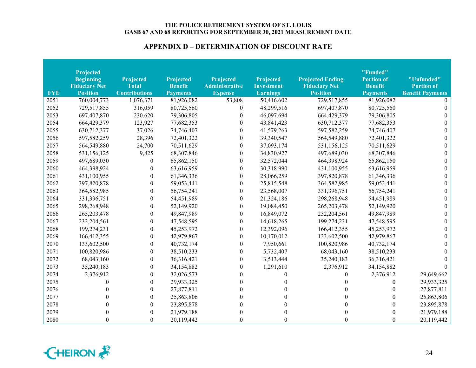| <b>FYE</b> | Projected<br><b>Beginning</b><br><b>Fiduciary Net</b><br><b>Position</b> | <b>Projected</b><br><b>Total</b><br><b>Contributions</b> | <b>Projected</b><br><b>Benefit</b><br><b>Payments</b> | <b>Projected</b><br><b>Administrative</b><br><b>Expense</b> | Projected<br><b>Investment</b><br><b>Earnings</b> | <b>Projected Ending</b><br><b>Fiduciary Net</b><br><b>Position</b> | "Funded"<br><b>Portion of</b><br><b>Benefit</b><br><b>Payments</b> | "Unfunded"<br><b>Portion of</b><br><b>Benefit Payments</b> |
|------------|--------------------------------------------------------------------------|----------------------------------------------------------|-------------------------------------------------------|-------------------------------------------------------------|---------------------------------------------------|--------------------------------------------------------------------|--------------------------------------------------------------------|------------------------------------------------------------|
| 2051       | 760,004,773                                                              | 1,076,371                                                | 81,926,082                                            | 53,808                                                      | 50,416,602                                        | 729,517,855                                                        | 81,926,082                                                         |                                                            |
| 2052       | 729,517,855                                                              | 316,059                                                  | 80,725,560                                            | $\theta$                                                    | 48,299,516                                        | 697,407,870                                                        | 80,725,560                                                         | $\Omega$                                                   |
| 2053       | 697,407,870                                                              | 230,620                                                  | 79,306,805                                            | $\theta$                                                    | 46,097,694                                        | 664,429,379                                                        | 79,306,805                                                         | $\theta$                                                   |
| 2054       | 664,429,379                                                              | 123,927                                                  | 77,682,353                                            | $\theta$                                                    | 43,841,423                                        | 630,712,377                                                        | 77,682,353                                                         | 0                                                          |
| 2055       | 630,712,377                                                              | 37,026                                                   | 74,746,407                                            | $\boldsymbol{0}$                                            | 41,579,263                                        | 597,582,259                                                        | 74,746,407                                                         | 0                                                          |
| 2056       | 597,582,259                                                              | 28,396                                                   | 72,401,322                                            | $\boldsymbol{0}$                                            | 39,340,547                                        | 564,549,880                                                        | 72,401,322                                                         | 0                                                          |
| 2057       | 564,549,880                                                              | 24,700                                                   | 70,511,629                                            | $\theta$                                                    | 37,093,174                                        | 531,156,125                                                        | 70,511,629                                                         |                                                            |
| 2058       | 531,156,125                                                              | 9,825                                                    | 68,307,846                                            | $\theta$                                                    | 34,830,927                                        | 497,689,030                                                        | 68,307,846                                                         |                                                            |
| 2059       | 497,689,030                                                              | $\boldsymbol{0}$                                         | 65,862,150                                            | $\theta$                                                    | 32,572,044                                        | 464,398,924                                                        | 65,862,150                                                         |                                                            |
| 2060       | 464,398,924                                                              | $\boldsymbol{0}$                                         | 63,616,959                                            | $\theta$                                                    | 30,318,990                                        | 431,100,955                                                        | 63,616,959                                                         | 0                                                          |
| 2061       | 431,100,955                                                              | $\boldsymbol{0}$                                         | 61,346,336                                            | $\boldsymbol{0}$                                            | 28,066,259                                        | 397,820,878                                                        | 61,346,336                                                         | 0                                                          |
| 2062       | 397,820,878                                                              | $\boldsymbol{0}$                                         | 59,053,441                                            | $\boldsymbol{0}$                                            | 25,815,548                                        | 364,582,985                                                        | 59,053,441                                                         | $\Omega$                                                   |
| 2063       | 364,582,985                                                              | $\boldsymbol{0}$                                         | 56,754,241                                            | $\theta$                                                    | 23,568,007                                        | 331,396,751                                                        | 56,754,241                                                         | $\Omega$                                                   |
| 2064       | 331,396,751                                                              | $\boldsymbol{0}$                                         | 54,451,989                                            | $\theta$                                                    | 21,324,186                                        | 298,268,948                                                        | 54,451,989                                                         | 0                                                          |
| 2065       | 298,268,948                                                              | $\boldsymbol{0}$                                         | 52,149,920                                            | $\theta$                                                    | 19,084,450                                        | 265, 203, 478                                                      | 52,149,920                                                         | 0                                                          |
| 2066       | 265,203,478                                                              | $\boldsymbol{0}$                                         | 49,847,989                                            | $\boldsymbol{0}$                                            | 16,849,072                                        | 232,204,561                                                        | 49,847,989                                                         | 0                                                          |
| 2067       | 232,204,561                                                              | $\boldsymbol{0}$                                         | 47,548,595                                            | $\boldsymbol{0}$                                            | 14,618,265                                        | 199,274,231                                                        | 47,548,595                                                         | 0                                                          |
| 2068       | 199,274,231                                                              | $\boldsymbol{0}$                                         | 45,253,972                                            | $\boldsymbol{0}$                                            | 12,392,096                                        | 166,412,355                                                        | 45,253,972                                                         | 0                                                          |
| 2069       | 166,412,355                                                              | $\boldsymbol{0}$                                         | 42,979,867                                            | $\theta$                                                    | 10,170,012                                        | 133,602,500                                                        | 42,979,867                                                         | 0                                                          |
| 2070       | 133,602,500                                                              | $\boldsymbol{0}$                                         | 40,732,174                                            | 0                                                           | 7,950,661                                         | 100,820,986                                                        | 40,732,174                                                         |                                                            |
| 2071       | 100,820,986                                                              | $\boldsymbol{0}$                                         | 38,510,233                                            | 0                                                           | 5,732,407                                         | 68,043,160                                                         | 38,510,233                                                         |                                                            |
| 2072       | 68,043,160                                                               | $\boldsymbol{0}$                                         | 36,316,421                                            | 0                                                           | 3,513,444                                         | 35,240,183                                                         | 36,316,421                                                         |                                                            |
| 2073       | 35,240,183                                                               | $\boldsymbol{0}$                                         | 34,154,882                                            | $\theta$                                                    | 1,291,610                                         | 2,376,912                                                          | 34,154,882                                                         | $\Omega$                                                   |
| 2074       | 2,376,912                                                                | $\boldsymbol{0}$                                         | 32,026,573                                            | 0                                                           | $\theta$                                          | $\theta$                                                           | 2,376,912                                                          | 29,649,662                                                 |
| 2075       | 0                                                                        | $\boldsymbol{0}$                                         | 29,933,325                                            |                                                             |                                                   | $\Omega$                                                           | $\theta$                                                           | 29,933,325                                                 |
| 2076       | 0                                                                        | $\boldsymbol{0}$                                         | 27,877,811                                            |                                                             |                                                   |                                                                    | $\Omega$                                                           | 27,877,811                                                 |
| 2077       | $\theta$                                                                 | $\boldsymbol{0}$                                         | 25,863,806                                            |                                                             |                                                   |                                                                    | $\theta$                                                           | 25,863,806                                                 |
| 2078       | $\theta$                                                                 | $\boldsymbol{0}$                                         | 23,895,878                                            |                                                             |                                                   |                                                                    | $\Omega$                                                           | 23,895,878                                                 |
| 2079       | $\theta$                                                                 | $\boldsymbol{0}$                                         | 21,979,188                                            |                                                             |                                                   |                                                                    | 0                                                                  | 21,979,188                                                 |
| 2080       | $\theta$                                                                 | $\boldsymbol{0}$                                         | 20,119,442                                            | $\theta$                                                    |                                                   |                                                                    | $\theta$                                                           | 20,119,442                                                 |

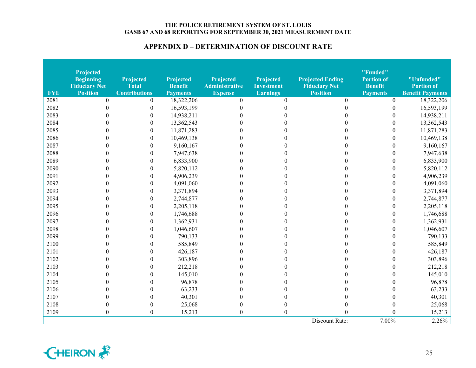| <b>FYE</b> | <b>Projected</b><br><b>Beginning</b><br><b>Fiduciary Net</b><br><b>Position</b> | <b>Projected</b><br><b>Total</b><br><b>Contributions</b> | <b>Projected</b><br><b>Benefit</b><br><b>Payments</b> | <b>Projected</b><br><b>Administrative</b><br><b>Expense</b> | <b>Projected</b><br><b>Investment</b><br><b>Earnings</b> | <b>Projected Ending</b><br><b>Fiduciary Net</b><br><b>Position</b> | "Funded"<br><b>Portion of</b><br><b>Benefit</b><br><b>Payments</b> | "Unfunded"<br><b>Portion of</b><br><b>Benefit Payments</b> |
|------------|---------------------------------------------------------------------------------|----------------------------------------------------------|-------------------------------------------------------|-------------------------------------------------------------|----------------------------------------------------------|--------------------------------------------------------------------|--------------------------------------------------------------------|------------------------------------------------------------|
| 2081       | $\theta$                                                                        | $\overline{0}$                                           | 18,322,206                                            | $\mathbf{0}$                                                | $\theta$                                                 | $\theta$                                                           | $\overline{0}$                                                     | 18,322,206                                                 |
| 2082       | $\theta$                                                                        | $\boldsymbol{0}$                                         | 16,593,199                                            | $\Omega$                                                    | 0                                                        | $\Omega$                                                           | $\mathbf{0}$                                                       | 16,593,199                                                 |
| 2083       | $\Omega$                                                                        | $\boldsymbol{0}$                                         | 14,938,211                                            | 0                                                           |                                                          |                                                                    | $\mathbf{0}$                                                       | 14,938,211                                                 |
| 2084       |                                                                                 | $\boldsymbol{0}$                                         | 13,362,543                                            | 0                                                           |                                                          |                                                                    | $\theta$                                                           | 13,362,543                                                 |
| 2085       |                                                                                 | $\boldsymbol{0}$                                         | 11,871,283                                            | 0                                                           |                                                          |                                                                    | $\mathbf{0}$                                                       | 11,871,283                                                 |
| 2086       |                                                                                 | $\boldsymbol{0}$                                         | 10,469,138                                            | 0                                                           |                                                          |                                                                    | $\theta$                                                           | 10,469,138                                                 |
| 2087       |                                                                                 | $\boldsymbol{0}$                                         | 9,160,167                                             |                                                             |                                                          |                                                                    | $\Omega$                                                           | 9,160,167                                                  |
| 2088       |                                                                                 | $\boldsymbol{0}$                                         | 7,947,638                                             |                                                             |                                                          |                                                                    | $\Omega$                                                           | 7,947,638                                                  |
| 2089       | $\Omega$                                                                        | $\boldsymbol{0}$                                         | 6,833,900                                             |                                                             |                                                          |                                                                    | 0                                                                  | 6,833,900                                                  |
| 2090       | 0                                                                               | $\boldsymbol{0}$                                         | 5,820,112                                             | 0                                                           |                                                          |                                                                    | 0                                                                  | 5,820,112                                                  |
| 2091       | $\Omega$                                                                        | $\boldsymbol{0}$                                         | 4,906,239                                             | 0                                                           |                                                          |                                                                    | $\Omega$                                                           | 4,906,239                                                  |
| 2092       |                                                                                 | $\boldsymbol{0}$                                         | 4,091,060                                             | 0                                                           |                                                          |                                                                    | $\theta$                                                           | 4,091,060                                                  |
| 2093       |                                                                                 | $\boldsymbol{0}$                                         | 3,371,894                                             | 0                                                           |                                                          |                                                                    | $\theta$                                                           | 3,371,894                                                  |
| 2094       | $\mathbf{\Omega}$                                                               | $\boldsymbol{0}$                                         | 2,744,877                                             | 0                                                           |                                                          |                                                                    | 0                                                                  | 2,744,877                                                  |
| 2095       | 0                                                                               | $\boldsymbol{0}$                                         | 2,205,118                                             | 0                                                           |                                                          |                                                                    | 0                                                                  | 2,205,118                                                  |
| 2096       | $\Omega$                                                                        | $\boldsymbol{0}$                                         | 1,746,688                                             | 0                                                           |                                                          |                                                                    | $\theta$                                                           | 1,746,688                                                  |
| 2097       | $\Omega$                                                                        | $\boldsymbol{0}$                                         | 1,362,931                                             | 0                                                           |                                                          |                                                                    | $\Omega$                                                           | 1,362,931                                                  |
| 2098       | $\Omega$                                                                        | $\boldsymbol{0}$                                         | 1,046,607                                             | $\Omega$                                                    |                                                          |                                                                    | $\theta$                                                           | 1,046,607                                                  |
| 2099       |                                                                                 | $\boldsymbol{0}$                                         | 790,133                                               | 0                                                           |                                                          |                                                                    | $\Omega$                                                           | 790,133                                                    |
| 2100       |                                                                                 | $\boldsymbol{0}$                                         | 585,849                                               | 0                                                           |                                                          |                                                                    | 0                                                                  | 585,849                                                    |
| 2101       | 0                                                                               | $\theta$                                                 | 426,187                                               | 0                                                           |                                                          |                                                                    |                                                                    | 426,187                                                    |
| 2102       | 0                                                                               | $\theta$                                                 | 303,896                                               | 0                                                           |                                                          |                                                                    |                                                                    | 303,896                                                    |
| 2103       | 0                                                                               | $\Omega$                                                 | 212,218                                               | 0                                                           |                                                          |                                                                    | 0                                                                  | 212,218                                                    |
| 2104       |                                                                                 | $\theta$                                                 | 145,010                                               | ∩                                                           |                                                          |                                                                    | ∩                                                                  | 145,010                                                    |
| 2105       |                                                                                 | $\theta$                                                 | 96,878                                                | 0                                                           |                                                          |                                                                    |                                                                    | 96,878                                                     |
| 2106       |                                                                                 | $\theta$                                                 | 63,233                                                | 0                                                           |                                                          |                                                                    |                                                                    | 63,233                                                     |
| 2107       |                                                                                 | $\theta$                                                 | 40,301                                                |                                                             |                                                          |                                                                    |                                                                    | 40,301                                                     |
| 2108       | 0                                                                               | $\theta$                                                 | 25,068                                                | 0                                                           |                                                          |                                                                    |                                                                    | 25,068                                                     |
| 2109       | $\boldsymbol{0}$                                                                | $\boldsymbol{0}$                                         | 15,213                                                | $\boldsymbol{0}$                                            | 0                                                        |                                                                    | 0                                                                  | 15,213                                                     |
|            |                                                                                 |                                                          |                                                       |                                                             |                                                          | Discount Rate:                                                     | 7.00%                                                              | 2.26%                                                      |



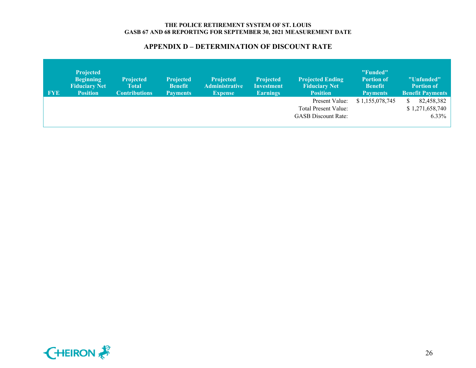| <b>FYE</b> | <b>Projected</b><br><b>Beginning</b><br><b>Fiduciary Net</b><br><b>Position</b> | <b>Projected</b><br>Total<br><b>Contributions</b> | <b>Projected</b><br><b>Benefit</b><br><b>Payments</b> | <b>Projected</b><br><b>Administrative</b><br><b>Expense</b> | <b>Projected</b><br><b>Investment</b><br><b>Earnings</b> | <b>Projected Ending</b><br><b>Fiduciary Net</b><br><b>Position</b> | "Funded"<br><b>Portion of</b><br><b>Benefit</b><br><b>Payments</b> | "Unfunded"<br><b>Portion of</b><br><b>Benefit Payments</b> |
|------------|---------------------------------------------------------------------------------|---------------------------------------------------|-------------------------------------------------------|-------------------------------------------------------------|----------------------------------------------------------|--------------------------------------------------------------------|--------------------------------------------------------------------|------------------------------------------------------------|
|            |                                                                                 |                                                   |                                                       |                                                             |                                                          | Present Value:                                                     | \$1,155,078,745                                                    | 82,458,382                                                 |
|            |                                                                                 |                                                   |                                                       |                                                             |                                                          | Total Present Value:                                               |                                                                    | \$1,271,658,740                                            |
|            |                                                                                 |                                                   |                                                       |                                                             |                                                          | <b>GASB</b> Discount Rate:                                         |                                                                    | $6.33\%$                                                   |
|            |                                                                                 |                                                   |                                                       |                                                             |                                                          |                                                                    |                                                                    |                                                            |

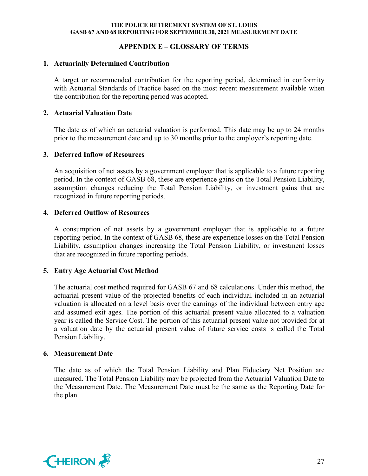### **APPENDIX E – GLOSSARY OF TERMS**

#### **1. Actuarially Determined Contribution**

A target or recommended contribution for the reporting period, determined in conformity with Actuarial Standards of Practice based on the most recent measurement available when the contribution for the reporting period was adopted.

#### **2. Actuarial Valuation Date**

The date as of which an actuarial valuation is performed. This date may be up to 24 months prior to the measurement date and up to 30 months prior to the employer's reporting date.

#### **3. Deferred Inflow of Resources**

An acquisition of net assets by a government employer that is applicable to a future reporting period. In the context of GASB 68, these are experience gains on the Total Pension Liability, assumption changes reducing the Total Pension Liability, or investment gains that are recognized in future reporting periods.

### **4. Deferred Outflow of Resources**

A consumption of net assets by a government employer that is applicable to a future reporting period. In the context of GASB 68, these are experience losses on the Total Pension Liability, assumption changes increasing the Total Pension Liability, or investment losses that are recognized in future reporting periods.

### **5. Entry Age Actuarial Cost Method**

The actuarial cost method required for GASB 67 and 68 calculations. Under this method, the actuarial present value of the projected benefits of each individual included in an actuarial valuation is allocated on a level basis over the earnings of the individual between entry age and assumed exit ages. The portion of this actuarial present value allocated to a valuation year is called the Service Cost. The portion of this actuarial present value not provided for at a valuation date by the actuarial present value of future service costs is called the Total Pension Liability.

### **6. Measurement Date**

The date as of which the Total Pension Liability and Plan Fiduciary Net Position are measured. The Total Pension Liability may be projected from the Actuarial Valuation Date to the Measurement Date. The Measurement Date must be the same as the Reporting Date for the plan.

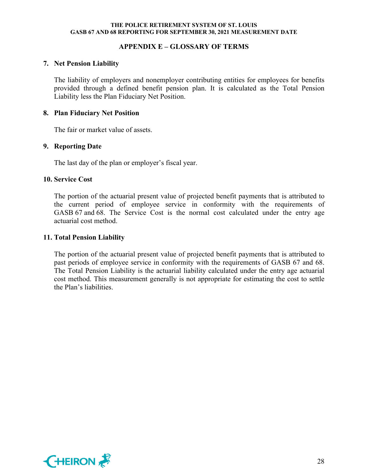### **APPENDIX E – GLOSSARY OF TERMS**

#### **7. Net Pension Liability**

The liability of employers and nonemployer contributing entities for employees for benefits provided through a defined benefit pension plan. It is calculated as the Total Pension Liability less the Plan Fiduciary Net Position.

#### **8. Plan Fiduciary Net Position**

The fair or market value of assets.

## **9. Reporting Date**

The last day of the plan or employer's fiscal year.

#### **10. Service Cost**

The portion of the actuarial present value of projected benefit payments that is attributed to the current period of employee service in conformity with the requirements of GASB 67 and 68. The Service Cost is the normal cost calculated under the entry age actuarial cost method.

#### **11. Total Pension Liability**

The portion of the actuarial present value of projected benefit payments that is attributed to past periods of employee service in conformity with the requirements of GASB 67 and 68. The Total Pension Liability is the actuarial liability calculated under the entry age actuarial cost method. This measurement generally is not appropriate for estimating the cost to settle the Plan's liabilities.